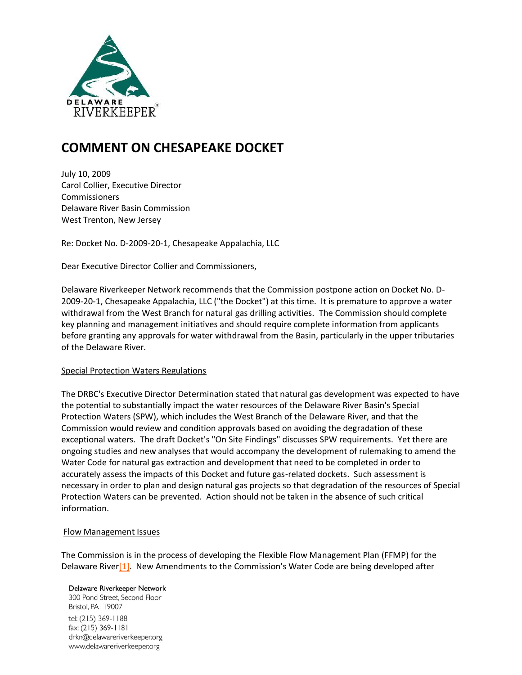

# **COMMENT ON CHESAPEAKE DOCKET**

July 10, 2009 Carol Collier, Executive Director **Commissioners** Delaware River Basin Commission West Trenton, New Jersey

Re: Docket No. D-2009-20-1, Chesapeake Appalachia, LLC

Dear Executive Director Collier and Commissioners,

Delaware Riverkeeper Network recommends that the Commission postpone action on Docket No. D-2009-20-1, Chesapeake Appalachia, LLC ("the Docket") at this time. It is premature to approve a water withdrawal from the West Branch for natural gas drilling activities. The Commission should complete key planning and management initiatives and should require complete information from applicants before granting any approvals for water withdrawal from the Basin, particularly in the upper tributaries of the Delaware River.

# Special Protection Waters Regulations

The DRBC's Executive Director Determination stated that natural gas development was expected to have the potential to substantially impact the water resources of the Delaware River Basin's Special Protection Waters (SPW), which includes the West Branch of the Delaware River, and that the Commission would review and condition approvals based on avoiding the degradation of these exceptional waters. The draft Docket's "On Site Findings" discusses SPW requirements. Yet there are ongoing studies and new analyses that would accompany the development of rulemaking to amend the Water Code for natural gas extraction and development that need to be completed in order to accurately assess the impacts of this Docket and future gas-related dockets. Such assessment is necessary in order to plan and design natural gas projects so that degradation of the resources of Special Protection Waters can be prevented. Action should not be taken in the absence of such critical information.

# Flow Management Issues

The Commission is in the process of developing the Flexible Flow Management Plan (FFMP) for the Delaware River<sup>[1]</sup>. New Amendments to the Commission's Water Code are being developed after

Delaware Riverkeeper Network 300 Pond Street, Second Floor Bristol, PA 19007 tel: (215) 369-1188 fax: (215) 369-1181 drkn@delawareriverkeeper.org www.delawareriverkeeper.org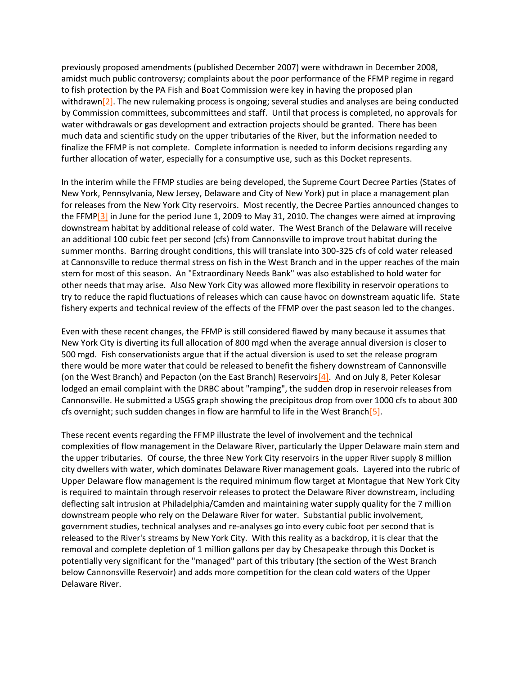previously proposed amendments (published December 2007) were withdrawn in December 2008, amidst much public controversy; complaints about the poor performance of the FFMP regime in regard to fish protection by the PA Fish and Boat Commission were key in having the proposed plan withdrawn<sup>[2]</sup>. The new rulemaking process is ongoing; several studies and analyses are being conducted by Commission committees, subcommittees and staff. Until that process is completed, no approvals for water withdrawals or gas development and extraction projects should be granted. There has been much data and scientific study on the upper tributaries of the River, but the information needed to finalize the FFMP is not complete. Complete information is needed to inform decisions regarding any further allocation of water, especially for a consumptive use, such as this Docket represents.

In the interim while the FFMP studies are being developed, the Supreme Court Decree Parties (States of New York, Pennsylvania, New Jersey, Delaware and City of New York) put in place a management plan for releases from the New York City reservoirs. Most recently, the Decree Parties announced changes to the FFMP $[3]$  in June for the period June 1, 2009 to May 31, 2010. The changes were aimed at improving downstream habitat by additional release of cold water. The West Branch of the Delaware will receive an additional 100 cubic feet per second (cfs) from Cannonsville to improve trout habitat during the summer months. Barring drought conditions, this will translate into 300-325 cfs of cold water released at Cannonsville to reduce thermal stress on fish in the West Branch and in the upper reaches of the main stem for most of this season. An "Extraordinary Needs Bank" was also established to hold water for other needs that may arise. Also New York City was allowed more flexibility in reservoir operations to try to reduce the rapid fluctuations of releases which can cause havoc on downstream aquatic life. State fishery experts and technical review of the effects of the FFMP over the past season led to the changes.

Even with these recent changes, the FFMP is still considered flawed by many because it assumes that New York City is diverting its full allocation of 800 mgd when the average annual diversion is closer to 500 mgd. Fish conservationists argue that if the actual diversion is used to set the release program there would be more water that could be released to benefit the fishery downstream of Cannonsville (on the West Branch) and Pepacton (on the East Branch) Reservoir[s\[4\].](http://delawareriverkeeper.org/#_ftn4) And on July 8, Peter Kolesar lodged an email complaint with the DRBC about "ramping", the sudden drop in reservoir releases from Cannonsville. He submitted a USGS graph showing the precipitous drop from over 1000 cfs to about 300 cfs overnight; such sudden changes in flow are harmful to life in the West Branc[h\[5\].](http://delawareriverkeeper.org/#_ftn5)

These recent events regarding the FFMP illustrate the level of involvement and the technical complexities of flow management in the Delaware River, particularly the Upper Delaware main stem and the upper tributaries. Of course, the three New York City reservoirs in the upper River supply 8 million city dwellers with water, which dominates Delaware River management goals. Layered into the rubric of Upper Delaware flow management is the required minimum flow target at Montague that New York City is required to maintain through reservoir releases to protect the Delaware River downstream, including deflecting salt intrusion at Philadelphia/Camden and maintaining water supply quality for the 7 million downstream people who rely on the Delaware River for water. Substantial public involvement, government studies, technical analyses and re-analyses go into every cubic foot per second that is released to the River's streams by New York City. With this reality as a backdrop, it is clear that the removal and complete depletion of 1 million gallons per day by Chesapeake through this Docket is potentially very significant for the "managed" part of this tributary (the section of the West Branch below Cannonsville Reservoir) and adds more competition for the clean cold waters of the Upper Delaware River.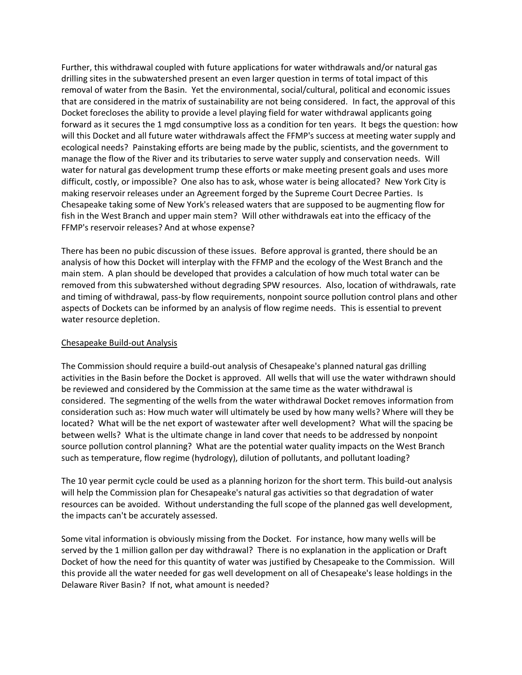Further, this withdrawal coupled with future applications for water withdrawals and/or natural gas drilling sites in the subwatershed present an even larger question in terms of total impact of this removal of water from the Basin. Yet the environmental, social/cultural, political and economic issues that are considered in the matrix of sustainability are not being considered. In fact, the approval of this Docket forecloses the ability to provide a level playing field for water withdrawal applicants going forward as it secures the 1 mgd consumptive loss as a condition for ten years. It begs the question: how will this Docket and all future water withdrawals affect the FFMP's success at meeting water supply and ecological needs? Painstaking efforts are being made by the public, scientists, and the government to manage the flow of the River and its tributaries to serve water supply and conservation needs. Will water for natural gas development trump these efforts or make meeting present goals and uses more difficult, costly, or impossible? One also has to ask, whose water is being allocated? New York City is making reservoir releases under an Agreement forged by the Supreme Court Decree Parties. Is Chesapeake taking some of New York's released waters that are supposed to be augmenting flow for fish in the West Branch and upper main stem? Will other withdrawals eat into the efficacy of the FFMP's reservoir releases? And at whose expense?

There has been no pubic discussion of these issues. Before approval is granted, there should be an analysis of how this Docket will interplay with the FFMP and the ecology of the West Branch and the main stem. A plan should be developed that provides a calculation of how much total water can be removed from this subwatershed without degrading SPW resources. Also, location of withdrawals, rate and timing of withdrawal, pass-by flow requirements, nonpoint source pollution control plans and other aspects of Dockets can be informed by an analysis of flow regime needs. This is essential to prevent water resource depletion.

# Chesapeake Build-out Analysis

The Commission should require a build-out analysis of Chesapeake's planned natural gas drilling activities in the Basin before the Docket is approved. All wells that will use the water withdrawn should be reviewed and considered by the Commission at the same time as the water withdrawal is considered. The segmenting of the wells from the water withdrawal Docket removes information from consideration such as: How much water will ultimately be used by how many wells? Where will they be located? What will be the net export of wastewater after well development? What will the spacing be between wells? What is the ultimate change in land cover that needs to be addressed by nonpoint source pollution control planning? What are the potential water quality impacts on the West Branch such as temperature, flow regime (hydrology), dilution of pollutants, and pollutant loading?

The 10 year permit cycle could be used as a planning horizon for the short term. This build-out analysis will help the Commission plan for Chesapeake's natural gas activities so that degradation of water resources can be avoided. Without understanding the full scope of the planned gas well development, the impacts can't be accurately assessed.

Some vital information is obviously missing from the Docket. For instance, how many wells will be served by the 1 million gallon per day withdrawal? There is no explanation in the application or Draft Docket of how the need for this quantity of water was justified by Chesapeake to the Commission. Will this provide all the water needed for gas well development on all of Chesapeake's lease holdings in the Delaware River Basin? If not, what amount is needed?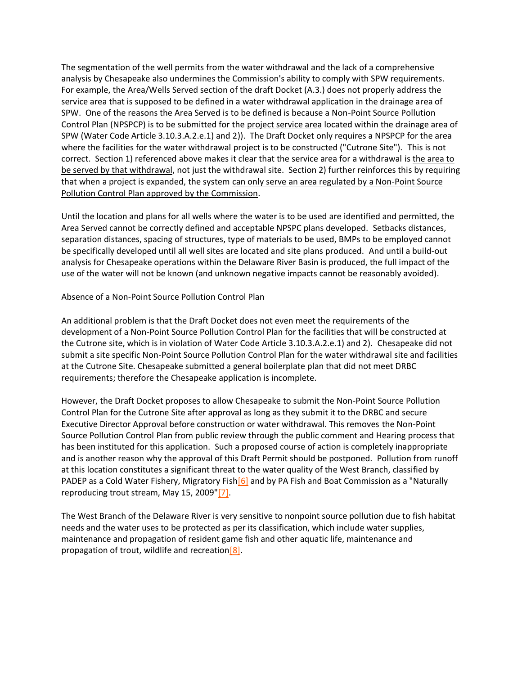The segmentation of the well permits from the water withdrawal and the lack of a comprehensive analysis by Chesapeake also undermines the Commission's ability to comply with SPW requirements. For example, the Area/Wells Served section of the draft Docket (A.3.) does not properly address the service area that is supposed to be defined in a water withdrawal application in the drainage area of SPW. One of the reasons the Area Served is to be defined is because a Non-Point Source Pollution Control Plan (NPSPCP) is to be submitted for the project service area located within the drainage area of SPW (Water Code Article 3.10.3.A.2.e.1) and 2)). The Draft Docket only requires a NPSPCP for the area where the facilities for the water withdrawal project is to be constructed ("Cutrone Site"). This is not correct. Section 1) referenced above makes it clear that the service area for a withdrawal is the area to be served by that withdrawal, not just the withdrawal site. Section 2) further reinforces this by requiring that when a project is expanded, the system can only serve an area regulated by a Non-Point Source Pollution Control Plan approved by the Commission.

Until the location and plans for all wells where the water is to be used are identified and permitted, the Area Served cannot be correctly defined and acceptable NPSPC plans developed. Setbacks distances, separation distances, spacing of structures, type of materials to be used, BMPs to be employed cannot be specifically developed until all well sites are located and site plans produced. And until a build-out analysis for Chesapeake operations within the Delaware River Basin is produced, the full impact of the use of the water will not be known (and unknown negative impacts cannot be reasonably avoided).

Absence of a Non-Point Source Pollution Control Plan

An additional problem is that the Draft Docket does not even meet the requirements of the development of a Non-Point Source Pollution Control Plan for the facilities that will be constructed at the Cutrone site, which is in violation of Water Code Article 3.10.3.A.2.e.1) and 2). Chesapeake did not submit a site specific Non-Point Source Pollution Control Plan for the water withdrawal site and facilities at the Cutrone Site. Chesapeake submitted a general boilerplate plan that did not meet DRBC requirements; therefore the Chesapeake application is incomplete.

However, the Draft Docket proposes to allow Chesapeake to submit the Non-Point Source Pollution Control Plan for the Cutrone Site after approval as long as they submit it to the DRBC and secure Executive Director Approval before construction or water withdrawal. This removes the Non-Point Source Pollution Control Plan from public review through the public comment and Hearing process that has been instituted for this application. Such a proposed course of action is completely inappropriate and is another reason why the approval of this Draft Permit should be postponed. Pollution from runoff at this location constitutes a significant threat to the water quality of the West Branch, classified by PADEP as a Cold Water Fishery, Migratory Fish [6] and by PA Fish and Boat Commission as a "Naturally reproducing trout stream, May 15, 2009["\[7\].](http://delawareriverkeeper.org/#_ftn7)

The West Branch of the Delaware River is very sensitive to nonpoint source pollution due to fish habitat needs and the water uses to be protected as per its classification, which include water supplies, maintenance and propagation of resident game fish and other aquatic life, maintenance and propagation of trout, wildlife and recreation $[8]$ .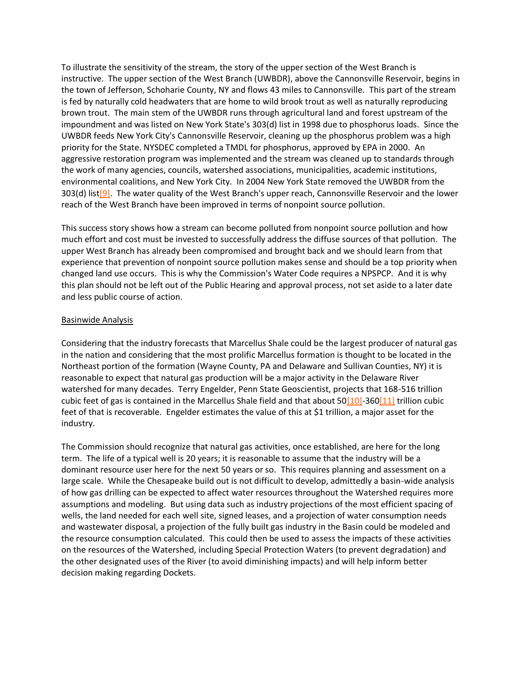To illustrate the sensitivity of the stream, the story of the upper section of the West Branch is instructive. The upper section of the West Branch (UWBDR), above the Cannonsville Reservoir, begins in the town of Jefferson, Schoharie County, NY and flows 43 miles to Cannonsville. This part of the stream is fed by naturally cold headwaters that are home to wild brook trout as well as naturally reproducing brown trout. The main stem of the UWBDR runs through agricultural land and forest upstream of the impoundment and was listed on New York State's 303(d) list in 1998 due to phosphorus loads. Since the UWBDR feeds New York City's Cannonsville Reservoir, cleaning up the phosphorus problem was a high priority for the State. NYSDEC completed a TMDL for phosphorus, approved by EPA in 2000. An aggressive restoration program was implemented and the stream was cleaned up to standards through the work of many agencies, councils, watershed associations, municipalities, academic institutions, environmental coalitions, and New York City. In 2004 New York State removed the UWBDR from the 303(d) lis[t\[9\].](http://delawareriverkeeper.org/#_ftn9) The water quality of the West Branch's upper reach, Cannonsville Reservoir and the lower reach of the West Branch have been improved in terms of nonpoint source pollution.

This success story shows how a stream can become polluted from nonpoint source pollution and how much effort and cost must be invested to successfully address the diffuse sources of that pollution. The upper West Branch has already been compromised and brought back and we should learn from that experience that prevention of nonpoint source pollution makes sense and should be a top priority when changed land use occurs. This is why the Commission's Water Code requires a NPSPCP. And it is why this plan should not be left out of the Public Hearing and approval process, not set aside to a later date and less public course of action.

#### Basinwide Analysis

Considering that the industry forecasts that Marcellus Shale could be the largest producer of natural gas in the nation and considering that the most prolific Marcellus formation is thought to be located in the Northeast portion of the formation (Wayne County, PA and Delaware and Sullivan Counties, NY) it is reasonable to expect that natural gas production will be a major activity in the Delaware River watershed for many decades. Terry Engelder, Penn State Geoscientist, projects that 168-516 trillion cubic feet of gas is contained in the Marcellus Shale field and that about  $50[10]$ -36[0\[11\]](http://delawareriverkeeper.org/#_ftn11) trillion cubic feet of that is recoverable. Engelder estimates the value of this at \$1 trillion, a major asset for the industry.

The Commission should recognize that natural gas activities, once established, are here for the long term. The life of a typical well is 20 years; it is reasonable to assume that the industry will be a dominant resource user here for the next 50 years or so. This requires planning and assessment on a large scale. While the Chesapeake build out is not difficult to develop, admittedly a basin-wide analysis of how gas drilling can be expected to affect water resources throughout the Watershed requires more assumptions and modeling. But using data such as industry projections of the most efficient spacing of wells, the land needed for each well site, signed leases, and a projection of water consumption needs and wastewater disposal, a projection of the fully built gas industry in the Basin could be modeled and the resource consumption calculated. This could then be used to assess the impacts of these activities on the resources of the Watershed, including Special Protection Waters (to prevent degradation) and the other designated uses of the River (to avoid diminishing impacts) and will help inform better decision making regarding Dockets.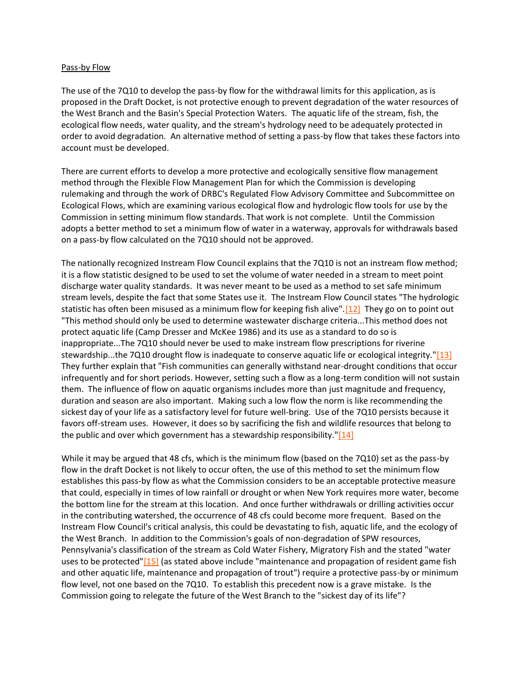#### Pass-by Flow

The use of the 7Q10 to develop the pass-by flow for the withdrawal limits for this application, as is proposed in the Draft Docket, is not protective enough to prevent degradation of the water resources of the West Branch and the Basin's Special Protection Waters. The aquatic life of the stream, fish, the ecological flow needs, water quality, and the stream's hydrology need to be adequately protected in order to avoid degradation. An alternative method of setting a pass-by flow that takes these factors into account must be developed.

There are current efforts to develop a more protective and ecologically sensitive flow management method through the Flexible Flow Management Plan for which the Commission is developing rulemaking and through the work of DRBC's Regulated Flow Advisory Committee and Subcommittee on Ecological Flows, which are examining various ecological flow and hydrologic flow tools for use by the Commission in setting minimum flow standards. That work is not complete. Until the Commission adopts a better method to set a minimum flow of water in a waterway, approvals for withdrawals based on a pass-by flow calculated on the 7Q10 should not be approved.

The nationally recognized Instream Flow Council explains that the 7Q10 is not an instream flow method; it is a flow statistic designed to be used to set the volume of water needed in a stream to meet point discharge water quality standards. It was never meant to be used as a method to set safe minimum stream levels, despite the fact that some States use it. The Instream Flow Council states "The hydrologic statistic has often been misused as a minimum flow for keeping fish alive"[.\[12\]](http://delawareriverkeeper.org/#_ftn12) They go on to point out "This method should only be used to determine wastewater discharge criteria...This method does not protect aquatic life (Camp Dresser and McKee 1986) and its use as a standard to do so is inappropriate...The 7Q10 should never be used to make instream flow prescriptions for riverine stewardship...the 7Q10 drought flow is inadequate to conserve aquatic life or ecological integrity.["\[13\]](http://delawareriverkeeper.org/#_ftn13) They further explain that "Fish communities can generally withstand near-drought conditions that occur infrequently and for short periods. However, setting such a flow as a long-term condition will not sustain them. The influence of flow on aquatic organisms includes more than just magnitude and frequency, duration and season are also important. Making such a low flow the norm is like recommending the sickest day of your life as a satisfactory level for future well-bring. Use of the 7Q10 persists because it favors off-stream uses. However, it does so by sacrificing the fish and wildlife resources that belong to the public and over which government has a stewardship responsibility." $[14]$ 

While it may be argued that 48 cfs, which is the minimum flow (based on the 7Q10) set as the pass-by flow in the draft Docket is not likely to occur often, the use of this method to set the minimum flow establishes this pass-by flow as what the Commission considers to be an acceptable protective measure that could, especially in times of low rainfall or drought or when New York requires more water, become the bottom line for the stream at this location. And once further withdrawals or drilling activities occur in the contributing watershed, the occurrence of 48 cfs could become more frequent. Based on the Instream Flow Council's critical analysis, this could be devastating to fish, aquatic life, and the ecology of the West Branch. In addition to the Commission's goals of non-degradation of SPW resources, Pennsylvania's classification of the stream as Cold Water Fishery, Migratory Fish and the stated "water uses to be protected["\[15\]](http://delawareriverkeeper.org/#_ftn15) (as stated above include "maintenance and propagation of resident game fish and other aquatic life, maintenance and propagation of trout") require a protective pass-by or minimum flow level, not one based on the 7Q10. To establish this precedent now is a grave mistake. Is the Commission going to relegate the future of the West Branch to the "sickest day of its life"?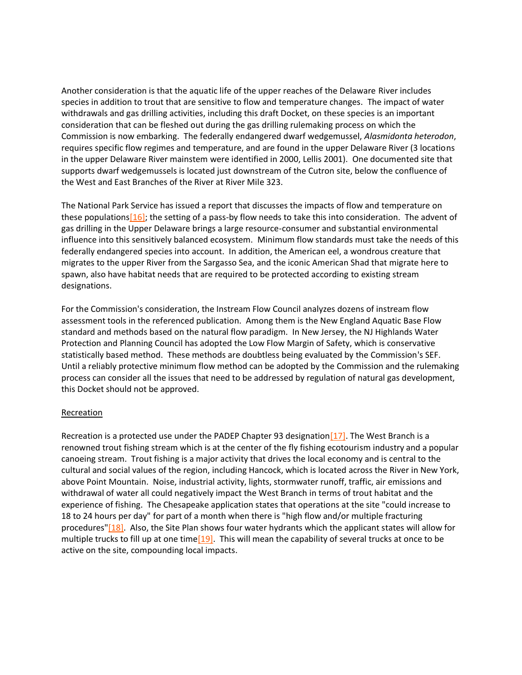Another consideration is that the aquatic life of the upper reaches of the Delaware River includes species in addition to trout that are sensitive to flow and temperature changes. The impact of water withdrawals and gas drilling activities, including this draft Docket, on these species is an important consideration that can be fleshed out during the gas drilling rulemaking process on which the Commission is now embarking. The federally endangered dwarf wedgemussel, *Alasmidonta heterodon*, requires specific flow regimes and temperature, and are found in the upper Delaware River (3 locations in the upper Delaware River mainstem were identified in 2000, Lellis 2001). One documented site that supports dwarf wedgemussels is located just downstream of the Cutron site, below the confluence of the West and East Branches of the River at River Mile 323.

The National Park Service has issued a report that discusses the impacts of flow and temperature on these population[s\[16\];](http://delawareriverkeeper.org/#_ftn16) the setting of a pass-by flow needs to take this into consideration. The advent of gas drilling in the Upper Delaware brings a large resource-consumer and substantial environmental influence into this sensitively balanced ecosystem. Minimum flow standards must take the needs of this federally endangered species into account. In addition, the American eel, a wondrous creature that migrates to the upper River from the Sargasso Sea, and the iconic American Shad that migrate here to spawn, also have habitat needs that are required to be protected according to existing stream designations.

For the Commission's consideration, the Instream Flow Council analyzes dozens of instream flow assessment tools in the referenced publication. Among them is the New England Aquatic Base Flow standard and methods based on the natural flow paradigm. In New Jersey, the NJ Highlands Water Protection and Planning Council has adopted the Low Flow Margin of Safety, which is conservative statistically based method. These methods are doubtless being evaluated by the Commission's SEF. Until a reliably protective minimum flow method can be adopted by the Commission and the rulemaking process can consider all the issues that need to be addressed by regulation of natural gas development, this Docket should not be approved.

# **Recreation**

Recreation is a protected use under the PADEP Chapter 93 designation $[17]$ . The West Branch is a renowned trout fishing stream which is at the center of the fly fishing ecotourism industry and a popular canoeing stream. Trout fishing is a major activity that drives the local economy and is central to the cultural and social values of the region, including Hancock, which is located across the River in New York, above Point Mountain. Noise, industrial activity, lights, stormwater runoff, traffic, air emissions and withdrawal of water all could negatively impact the West Branch in terms of trout habitat and the experience of fishing. The Chesapeake application states that operations at the site "could increase to 18 to 24 hours per day" for part of a month when there is "high flow and/or multiple fracturing procedures["\[18\].](http://delawareriverkeeper.org/#_ftn18) Also, the Site Plan shows four water hydrants which the applicant states will allow for multiple trucks to fill up at one time $[19]$ . This will mean the capability of several trucks at once to be active on the site, compounding local impacts.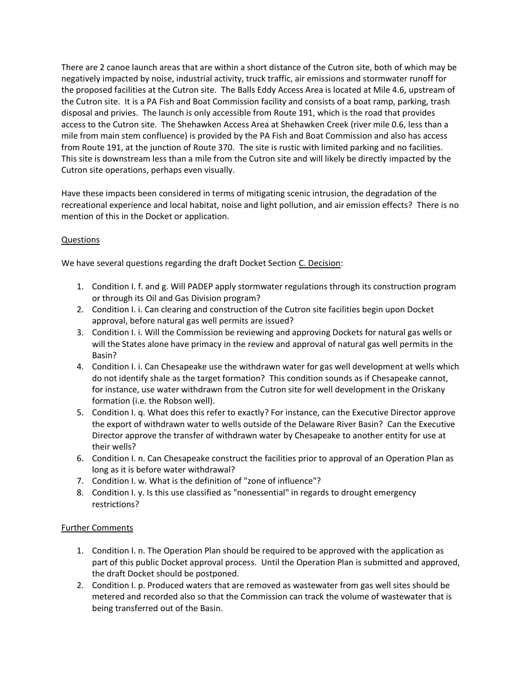There are 2 canoe launch areas that are within a short distance of the Cutron site, both of which may be negatively impacted by noise, industrial activity, truck traffic, air emissions and stormwater runoff for the proposed facilities at the Cutron site. The Balls Eddy Access Area is located at Mile 4.6, upstream of the Cutron site. It is a PA Fish and Boat Commission facility and consists of a boat ramp, parking, trash disposal and privies. The launch is only accessible from Route 191, which is the road that provides access to the Cutron site. The Shehawken Access Area at Shehawken Creek (river mile 0.6, less than a mile from main stem confluence) is provided by the PA Fish and Boat Commission and also has access from Route 191, at the junction of Route 370. The site is rustic with limited parking and no facilities. This site is downstream less than a mile from the Cutron site and will likely be directly impacted by the Cutron site operations, perhaps even visually.

Have these impacts been considered in terms of mitigating scenic intrusion, the degradation of the recreational experience and local habitat, noise and light pollution, and air emission effects? There is no mention of this in the Docket or application.

# Questions

We have several questions regarding the draft Docket Section C. Decision:

- 1. Condition I. f. and g. Will PADEP apply stormwater regulations through its construction program or through its Oil and Gas Division program?
- 2. Condition I. i. Can clearing and construction of the Cutron site facilities begin upon Docket approval, before natural gas well permits are issued?
- 3. Condition I. i. Will the Commission be reviewing and approving Dockets for natural gas wells or will the States alone have primacy in the review and approval of natural gas well permits in the Basin?
- 4. Condition I. i. Can Chesapeake use the withdrawn water for gas well development at wells which do not identify shale as the target formation? This condition sounds as if Chesapeake cannot, for instance, use water withdrawn from the Cutron site for well development in the Oriskany formation (i.e. the Robson well).
- 5. Condition I. q. What does this refer to exactly? For instance, can the Executive Director approve the export of withdrawn water to wells outside of the Delaware River Basin? Can the Executive Director approve the transfer of withdrawn water by Chesapeake to another entity for use at their wells?
- 6. Condition I. n. Can Chesapeake construct the facilities prior to approval of an Operation Plan as long as it is before water withdrawal?
- 7. Condition I. w. What is the definition of "zone of influence"?
- 8. Condition I. y. Is this use classified as "nonessential" in regards to drought emergency restrictions?

# Further Comments

- 1. Condition I. n. The Operation Plan should be required to be approved with the application as part of this public Docket approval process. Until the Operation Plan is submitted and approved, the draft Docket should be postponed.
- 2. Condition I. p. Produced waters that are removed as wastewater from gas well sites should be metered and recorded also so that the Commission can track the volume of wastewater that is being transferred out of the Basin.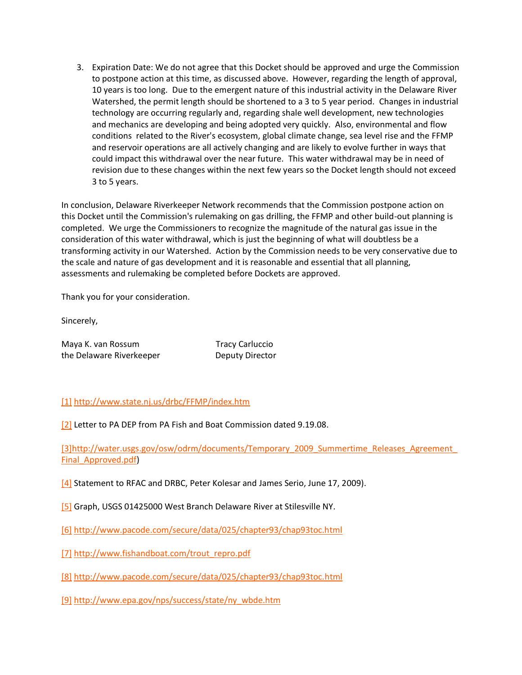3. Expiration Date: We do not agree that this Docket should be approved and urge the Commission to postpone action at this time, as discussed above. However, regarding the length of approval, 10 years is too long. Due to the emergent nature of this industrial activity in the Delaware River Watershed, the permit length should be shortened to a 3 to 5 year period. Changes in industrial technology are occurring regularly and, regarding shale well development, new technologies and mechanics are developing and being adopted very quickly. Also, environmental and flow conditions related to the River's ecosystem, global climate change, sea level rise and the FFMP and reservoir operations are all actively changing and are likely to evolve further in ways that could impact this withdrawal over the near future. This water withdrawal may be in need of revision due to these changes within the next few years so the Docket length should not exceed 3 to 5 years.

In conclusion, Delaware Riverkeeper Network recommends that the Commission postpone action on this Docket until the Commission's rulemaking on gas drilling, the FFMP and other build-out planning is completed. We urge the Commissioners to recognize the magnitude of the natural gas issue in the consideration of this water withdrawal, which is just the beginning of what will doubtless be a transforming activity in our Watershed. Action by the Commission needs to be very conservative due to the scale and nature of gas development and it is reasonable and essential that all planning, assessments and rulemaking be completed before Dockets are approved.

Thank you for your consideration.

Sincerely,

| Maya K. van Rossum       | <b>Tracy Carluccio</b> |
|--------------------------|------------------------|
| the Delaware Riverkeeper | <b>Deputy Director</b> |

[\[1\]](http://delawareriverkeeper.org/#_ftnref) <http://www.state.nj.us/drbc/FFMP/index.htm>

[\[2\]](http://delawareriverkeeper.org/#_ftnref) Letter to PA DEP from PA Fish and Boat Commission dated 9.19.08.

[\[3\]http://water.usgs.gov/osw/odrm/documents/Temporary\\_2009\\_Summertime\\_Releases\\_Agreement\\_](http://delawareriverkeeper.org/#_ftnref) Final\_Approved.pdf)

[\[4\]](http://delawareriverkeeper.org/#_ftnref) Statement to RFAC and DRBC, Peter Kolesar and James Serio, June 17, 2009).

[\[5\]](http://delawareriverkeeper.org/#_ftnref) Graph, USGS 01425000 West Branch Delaware River at Stilesville NY.

[\[6\]](http://delawareriverkeeper.org/#_ftnref) <http://www.pacode.com/secure/data/025/chapter93/chap93toc.html>

[\[7\]](http://delawareriverkeeper.org/#_ftnref) [http://www.fishandboat.com/trout\\_repro.pdf](http://www.fishandboat.com/trout_repro.pdf)

[\[8\]](http://delawareriverkeeper.org/#_ftnref) <http://www.pacode.com/secure/data/025/chapter93/chap93toc.html>

[\[9\]](http://delawareriverkeeper.org/#_ftnref) [http://www.epa.gov/nps/success/state/ny\\_wbde.htm](http://www.epa.gov/nps/success/state/ny_wbde.htm)